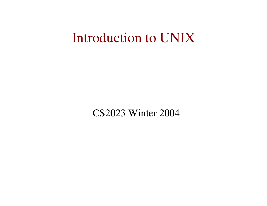#### Introduction to UNIX

CS2023 Winter 2004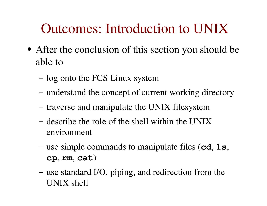## Outcomes: Introduction to UNIX

- After the conclusion of this section you should be<br>able to<br>= log onto the ECS I inux system able to
	- log onto the FCS Linux system
	- understand the concep<sup>t</sup> of current working directory
	- traverse and manipulate the UNIX filesystem
	- describe the role of the shell within the UNIX environment
	- use simple commands to manipulate files (**cd**, **ls**, **cp**, **rm**, **cat**)
	- use standard I/O, piping, and redirection from the UNIX shell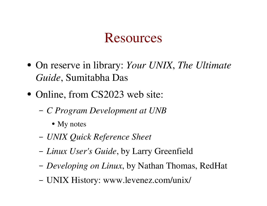#### Resources

- On reserve in library: *Your UNIX*, *The Ultimate*<br> *Guide*, Sumitabha Das<br>
Online, from CS2023 web site: *Guide*, Sumitabha Das
- Online, from CS2023 web site:
	- Online, from CS2023 web site:<br>- C Program Development at UNI *C Program Development at UNB*
		- My notes
		- My notes<br>NIX Quic *UNIX Quick Reference Sheet*
		- *Linux User's Guide*, by Larry Greenfield
		- *Developing on Linux*, by Nathan Thomas, RedHat
		- UNIX History: www.levenez.com/unix/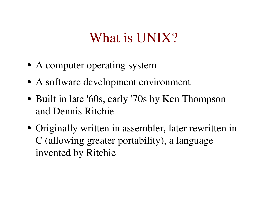## What is UNIX?

- A computer operating system
- A computer operating system<br>A software development envi
- A software development environment<br>Built in late '60s, early '70s by Ken Th<br>and Donnis Pitchio Built in late '60s, early '70s by Ken Thompson<br>and Dennis Ritchie<br>Originally written in assembler, later rewritten and Dennis Ritchie
- Originally written in assembler, later rewritten in Originally written in assembler, later rewritten in<br>C (allowing greater portability), a language<br>invented by Ritchie C (allowing greater portability), <sup>a</sup> language invented by Ritchie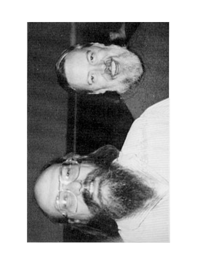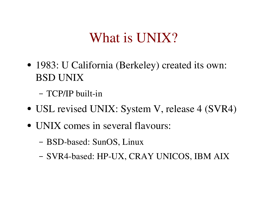## What is UNIX?

1983: U California (Berkeley) created its own:<br>BSD UNIX<br>- TCP/IP built-in BSD UNIX

TCP/IP built-in

- USL revised UNIX: System V, release 4 (SVR4)<br>UNIX comes in several flavours:
- UNIX comes in several flavours:<br>- BSD-based: SunOS, Linux<br>SVD411 LID UX CDAY UNI
	- BSD-based: SunOS, Linux
	- SVR4-based: HP-UX, CRAY UNICOS, IBM AIX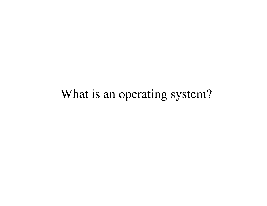What is an operating system?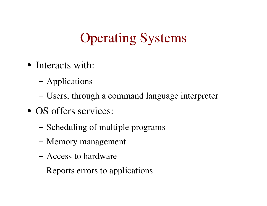## Operating Systems

- Interacts with:<br>- Applications
	- Applications
	- Users, through <sup>a</sup> command language interpreter
- OS offers services:
	- OS offers services:<br>- Scheduling of mul Scheduling of multiple programs
		- Memory managemen<sup>t</sup>
		- Access to hardware
		- Reports errors to applications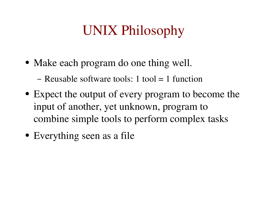## UNIX Philosophy

- Make each program do one thing well.<br>- Reusable software tools: 1 tool = 1 funct
	- Reusable software tools:  $1 \text{ tool} = 1 \text{ function}$
- Expect the output of every program to become the<br>input of another, yet unknown, program to<br>combine simple tools to perform complex tasks input of another, ye<sup>t</sup> unknown, program to combine simple tools to perform complex tasks
- Everything seen as <sup>a</sup> file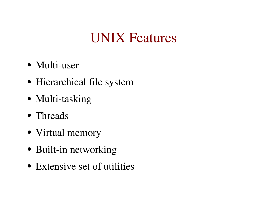### UNIX Features

- Multi-user
- Multi-user<br>Hierarchic Hierarchical file system<br>Multi-tasking
- Multi-tasking<br>Threads
- Threads
- Threads<br>Virtual
- Virtual memory<br>Built-in network
- Built-in networking<br>Extensive set of util  Extensive set of utilities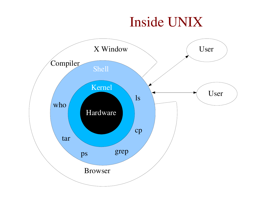#### Inside UNIX

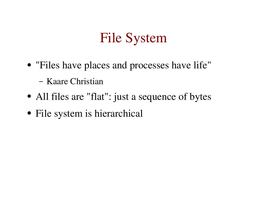## File System

- "Files have places and processes have life"<br>- Kaare Christian<br>All Sl
	- Kaare Christian
- All files are "flat": just a sequence of bytes<br>File system is hierarchical
- File system is hierarchical<br>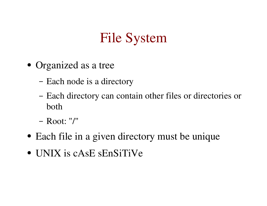## File System

- Organized as a tree<br>- Each node is a dire
	- Each node is <sup>a</sup> directory
	- Each directory can contain other files or directories or both
	- Root: "/"
- Each file in a given directory must be unique<br>UNIX is cAsE sEnSiTiVe
- UNIX is cAsE sEnSiTiVe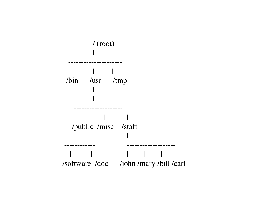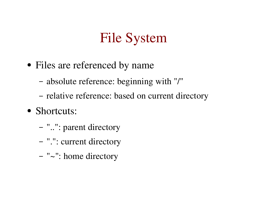## File System

- - Files are referenced by name<br>- absolute reference: beginning absolute reference: beginning with "/"
		- relative reference: based on current directory
- Shortcuts:<br>- "..": pare
	- ".. ": paren<sup>t</sup> directory
	- "".": current directory
	- ""~": home directory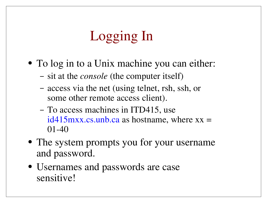## Logging In

- To log in to a Unix machine you can either:<br>- sit at the *console* (the computer itself)<br>- access via the net (using telnet, rsh, ssh, or
	- sit at the *console* (the computer itself)
	- access via the net (using telnet, rsh, ssh, or some other remote access client).
	- To access machines in ITD415, use id415mxx.cs.unb.ca as hostname, where xx <sup>=</sup> 01-40
- The system prompts you for your username<br>and password.<br>Usernames and passwords are case and password.
- Usernames and passwords are case<br>sensitive! sensitive!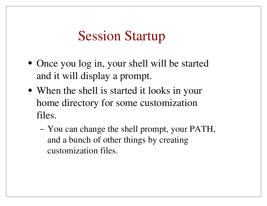#### Session Startup

- Once you log in, your shell will be started<br>and it will display a prompt.<br>When the shell is started it looks in your and it will display <sup>a</sup> prompt.
- When the shell is started it looks in your<br>home directory for some customization<br>files. home directory for some customization files.
	- You can change the shell prompt, your PATH, and <sup>a</sup> bunch of other things by creating customization files.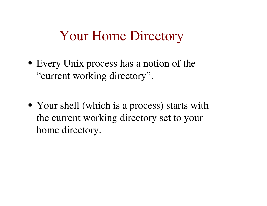#### Your Home Directory

- Every Unix process has a notion of the "current working directory". "current working directory".
- Your shell (which is a process) starts with Your shell (which is a process) starts with<br>the current working directory set to your<br>home directory. the current working directory set to your home directory.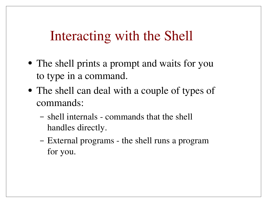### Interacting with the Shell

- The shell prints a prompt and waits for you<br>to type in a command.<br>The shell can deal with a couple of types of to type in <sup>a</sup> command.
- The shell can deal with a couple of types of<br>commands:<br>- shell internals commands that the shell commands:
	- shell internals commands that the shell handles directly.
	- External programs the shell runs <sup>a</sup> program for you.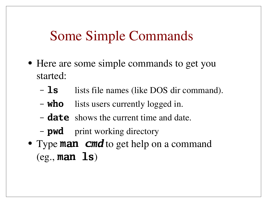#### Some Simple Commands

- Here are some simple commands to get you<br>started:<br>- **1s** lists file names (like DOS dir command started:
	- $-$  1s  $$ **s** lists file names (like DOS dir command).
	- who lists users currently logged in.
	- **date** shows the current time and date.
	- pwd print working directory
- Type **man**  $\text{cmd}$  to get help on a command (eg., **man**  $\text{ls)}$ ) (eg.,  $man$   $ls$ )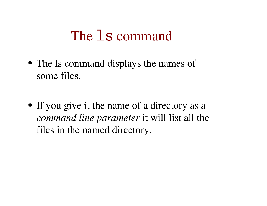## The **Ls** command

- The ls command displays the names of some files. some files.
- If you give it the name of a directory as a If you give it the name of a directory as a<br>command line parameter it will list all the<br>files in the named directory. *command line parameter* it will list all the files in the named directory.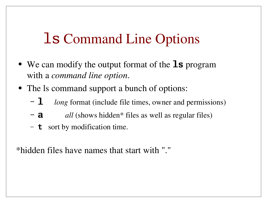## Command Line Options

- We can modify the output format of the  $\overline{\text{ls}}$  program<br>with a *command line option*.<br>The ls command support a bunch of options: with <sup>a</sup> *command line option*.
- - The ls command support a bunch of options:<br>-  $\bf{I}$  *long* format (include file times, owner and  $-1$ *long* format (include file times, owner and permissions)
		- $a$ all (shows hidden\* files as well as regular files)
		- $\tau$  sort by modification time.

\*hidden files have names that start with "."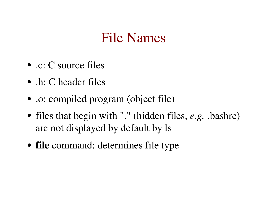#### File Names

- R.c: C source files
- h: C header files
- o: compiled program (object file)
- files that begin with "." (hidden files, *e.g.* .bashrc)<br>are not displayed by default by ls<br>**file** commend: determines file type are not displayed by default by ls
- file command: determines file type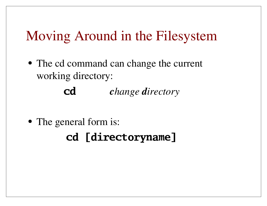## Moving Around in the Filesystem

The cd command can change the current<br>working directory:<br>change directory working directory:

#### $\mathbf{c}\mathbf{d}$ *<sup>c</sup>hange directory*

The general form is:<br>cd [direc

#### $\blacksquare$   $\blacksquare$   $\blacksquare$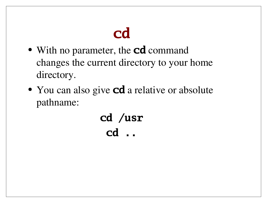# **cd**

- With no parameter, the **cd** command With no parameter, the **cd** command<br>changes the current directory to your<br>directory. changes the current directory to your home directory.
- You can also give  $cd$  a relative or absolute<br>pathname:<br> $cd$  /usr pathname:

cd /usr cd ..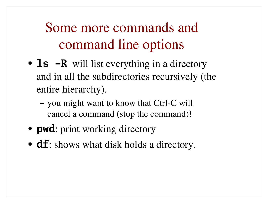## Some more commands and command line options

- $\text{ls}$  -R will list everything in a directory and in all the subdirectories recursively (the entire hierarchy).
	- you might want to know that Ctrl-C will cancel a command (stop the command)!
- pwd: print working directory
- **df**: shows what disk holds a directory.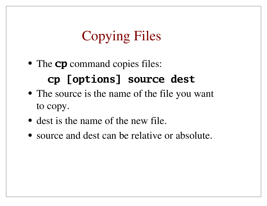## Copying Files

- The **cp** command copies files: The CP command copies files:<br>CP [Options] source z{E|}|~|z}
- The source is the name of the file you want<br>to copy.<br>dest is the name of the new file to copy.
- dest is the name of the new file.
- dest is the name of the new file.<br>source and dest can be relative source and dest can be relative or absolute.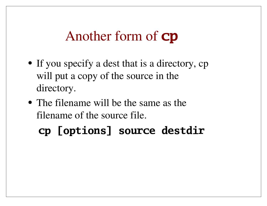## Another form of

- If you specify a dest that is a directory, cp<br>will put a copy of the source in the<br>directory. will put a copy of the source in the directory.
- The filename will be the same as the<br>filename of the source file.<br>**CRUP CONTIONS** COUTCA dest filename of the source file.

#### E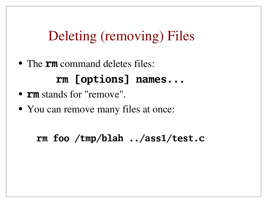### Deleting (removing) Files

- The **rm** command deletes files: rm [options] names...
- **rm** stands for "remove".
- You can remove many files at once:

#### rm foo  $\text{/tmp/blah}$ .. $\text{/ass1/test.c}$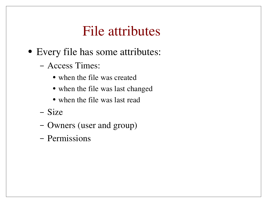### File attributes

- Every file has some attributes:<br>- Access Times:<br>• when the file was created
	- Access Times:
		- when the file was created
		- when the file was created<br>when the file was last channels
		- when the file was last changed<br>when the file was last read when the file was last read<br>ze
	- Size
	- Owners (user and group)
	- Permissions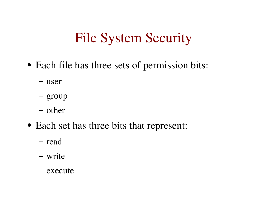## **File System Security**

- Each file has three sets of permission bits:
	- user
	- group
	- other
- Each set has three bits that represent:
	- read
	- write
	- execute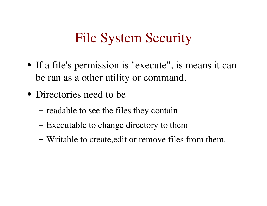## **File System Security**

- If a file's permission is "execute", is means it can be ran as a other utility or command.
- Directories need to be
	- readable to see the files they contain
	- Executable to change directory to them
	- Writable to create, edit or remove files from them.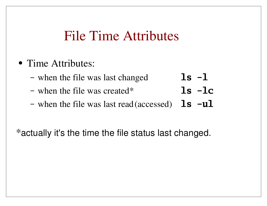#### File Time Attributes

- Time Attributes: Time Attributes:<br>- when the file w<br>- when the file w
	- when the file was last changed  $s -1$
	- when the file was created\*  $ls -lc$
	- when the file was last read (accessed)  $\text{ls}$  -ul

\*actually it's the time the file status last changed.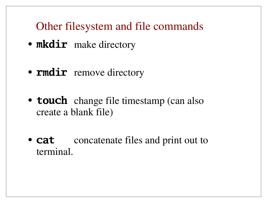Other filesystem and file commands

- mkdir make directory
- **rmdir** remove directory
- **touch** change file timestamp (can also create a blank file)
- cat concatenate files and print out to terminal.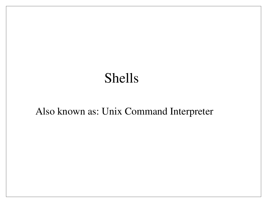## Shells

#### Also known as: Unix Command Interpreter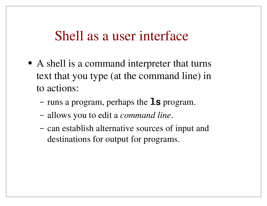#### Shell as <sup>a</sup> user interface

- A shell is a command interpreter that turns A shell is a command interpreter that turns<br>text that you type (at the command line) in<br>to actions: text that you type (at the command line) in to actions:
	- runs a program, perhaps the  $\textsf{ls}$  program.
	- allows you to edit <sup>a</sup> *command line*.
	- can establish alternative sources of input and destinations for output for programs.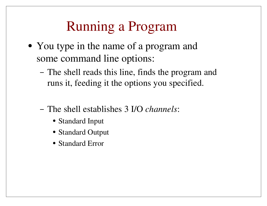## Running <sup>a</sup> Program

- You type in the name of a program and<br>some command line options:<br>- The shell reads this line, finds the program some command line options:
	- The shell reads this line, finds the program and runs it, feeding it the options you specified.
	- The shell establishes 3 I/O *channels*:
		- Standard Input
		- Standard Input<br>Standard Outpi
		- Standard Output<br>Standard Error ø Standard Error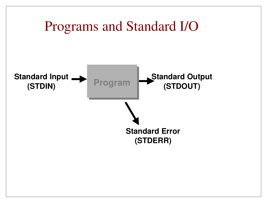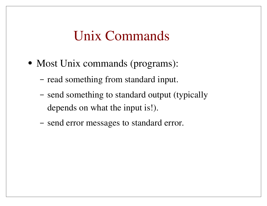#### Unix Commands

- Most Unix commands (programs):<br>- read something from standard input.
	- read something from standard input.
	- send something to standard output (typically depends on what the input is!).
	- send error messages to standard error.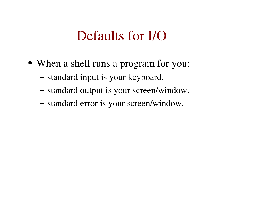#### Defaults for I/O

- When a shell runs a program for you:
	- standard input is your keyboard.
	- standard output is your screen/window.
	- standard error is your screen/window.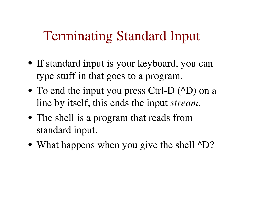#### Terminating Standard Input

- If standard input is your keyboard, you can<br>type stuff in that goes to a program.<br>To end the input you press Ctrl-D (^D) on type stuff in that goes to <sup>a</sup> program.
- To end the input you press Ctrl-D (^D) on a<br>line by itself, this ends the input *stream*.<br>The shell is a program that reads from line by itself, this ends the input *stream*.
- The shell is a program that reads from<br>standard input.<br>What hannens when you give the shell standard input.
- What happens when you give the shell  $\Delta D$ ?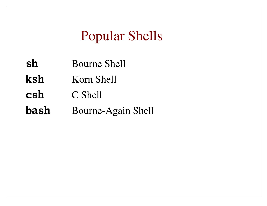## Popular Shells

- **h** Bourne Shell
- h Korn Shell
- **csh** C Shell
- bash Bourne-Again Shell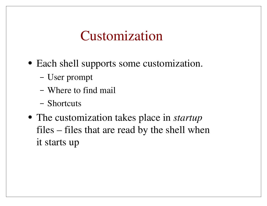#### Customization

- Each shell supports some customization.<br>- User prompt<br>- Where to find mail
	- User promp<sup>t</sup>
	- Where to find mail
	- Shortcuts
- The customization takes place in *startup*<br>files files that are read by the shell where<br>it starts up files – files that are read by the shell when it starts up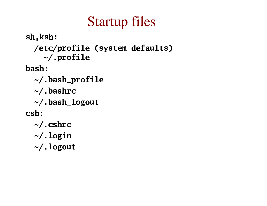#### **Startup files**

sh, ksh:

/etc/profile (system defaults)  $\sim$ /.profile

bash:

~/.bash\_profile  $\sim$ /.bashrc ~/.bash\_logout  $csh:$  $\sim$ /. cshrc

> $\sim$ /.login  $\sim$ /.logout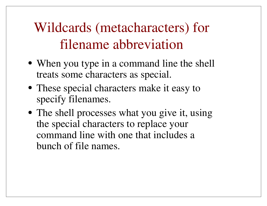## Wildcards (metacharacters) for filename abbreviation

- When you type in a command line the shell<br>treats some characters as special.<br>These special characters make it easy to treats some characters as special.
- These special characters make it easy to These special characters make it easy to<br>specify filenames.<br>The shell processes what you give it, us: specify filenames.
- The shell processes what you give it, using<br>the special characters to replace your<br>command line with one that includes a the special characters to replace your command line with one that includes <sup>a</sup> bunch of file names.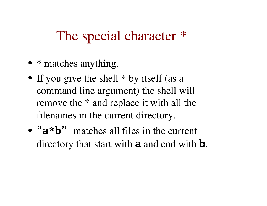#### The special character \*

- $\bullet$  \* matches anything.
- \* matches anything.<br>If you give the shell<br>command line arour If you give the shell \* by itself (as a<br>command line argument) the shell will<br>remove the \* and replace it with all the command line argument) the shell will filenames in the current directory.
- " $a * b$ " matches all files in the current matches all files in the current<br>ry that start with **a** and end with directory that start with  $\bm{a}$  and end with  $\bm{b}$ .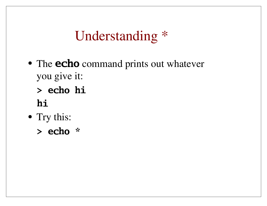## Understanding \*

- The **echo** command prints out whatever you give it:
	- > echo hi

#### hi

- Try this:
	- $>$  echo  $*$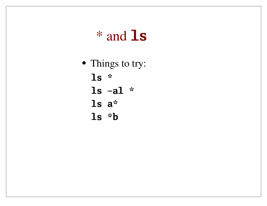## \* and **1s**

- Things to try:  $\text{ls}$  \*  $ls -al *$ 
	- $ls a<sup>*</sup>$
	- $ls$  \*b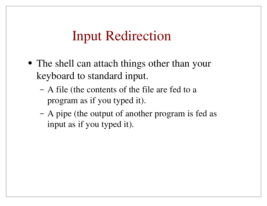#### Input Redirection

- The shell can attach things other than your<br>keyboard to standard input.<br>- A file (the contents of the file are fed to a keyboard to standard input.
	- A file (the contents of the file are fed to <sup>a</sup> program as if you typed it).
	- A pipe (the output of another program is fed as input as if you typed it).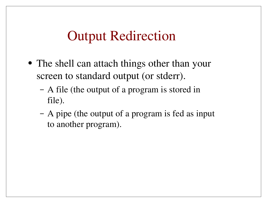## Output Redirection

- The shell can attach things other than your<br>screen to standard output (or stderr).<br>- A file (the output of a program is stored in screen to standard output (or stderr).
	- A file (the output of <sup>a</sup> program is stored in file).
	- A pipe (the output of <sup>a</sup> program is fed as input to another program).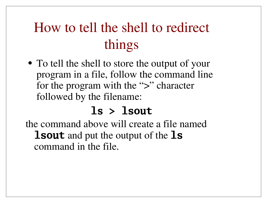## How to tell the shell to redirect things

• To tell the shell to store the output of your To tell the shell to store the output of your<br>program in a file, follow the command line<br>for the program with the ">" character program in <sup>a</sup> file, follow the command line for the program with the ">" character followed by the filename:

#### $\Box$  $\Box$  $\Box$  $\Box$  $\Box$

the command above will create a file named<br>**Isout** and put the output of the **Is lsout** and put the output of the **ls** command in the file.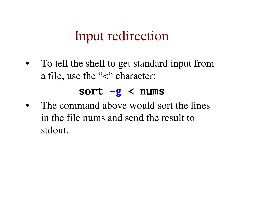#### Input redirection

• To tell the shell to get standard input from a file, use the "<" character:

## ort -g < nums

•• The command above would sort the lines in the file nums and send the result to stdout.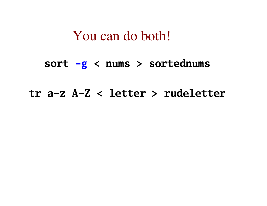#### You can do both!

#### sort  $-g$  < nums > sortednums

#### tr  $a-z$  A-Z < letter > rudeletter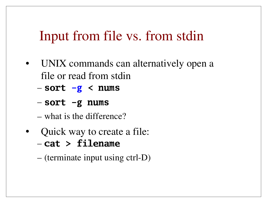#### Input from file vs. from stdin

- UNIX commands can alternatively open <sup>a</sup> file or read from stdin
	- sort –g < nums
	- sort –g nums
	- what is the difference?
- Quick way to create a file: -cat > filenam
	- (terminate input using ctrl-D)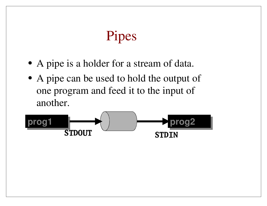## Pipes

- A pipe is a holder for a stream of data.
- A pipe is a holder for a stream of data.<br>A pipe can be used to hold the output of<br>one program and feed it to the input of A pipe can be used to hold the output of<br>one program and feed it to the input of<br>another. one program and feed it to the input of another.

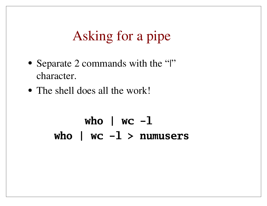## Asking for a pipe

- Separate 2 commands with the "I" character.
- The shell does all the work!

#### who  $|$  wc  $-1$ who  $|$  wc  $-1$  > numusers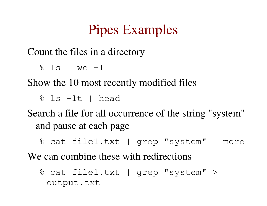## Pipes Examples

Count the files in <sup>a</sup> directory

% ls | wc -l

Show the 10 most recently modified files

% ls -lt | head

Search <sup>a</sup> file for all occurrence of the string "system" and pause at each page

% cat file1.txt | grep "system" | more

We can combine these with redirections

% cat file1.txt | grep "system" <sup>&</sup>gt; output.txt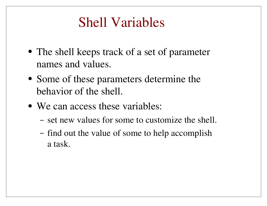## Shell Variables

- The shell keeps track of a set of parameter<br>names and values.<br>Some of these parameters determine the names and values.
- Some of these parameters determine the<br>behavior of the shell.<br>We can access these variables: behavior of the shell.
- We can access these variables:<br>- set new values for some to cust<br>- find out the value of some to he
	- set new values for some to customize the shell.
	- find out the value of some to help accomplish a task.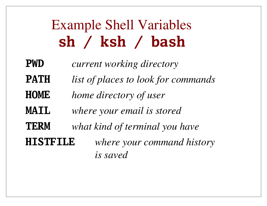**Example Shell Variables** sh / ksh / bash

**PWD** *current working directory* **PATH** *list of places to look for commands* **HOME** home directory of user **MATT.** where your email is stored **TERM** what kind of terminal you have **HISTFILE** where your command history is saved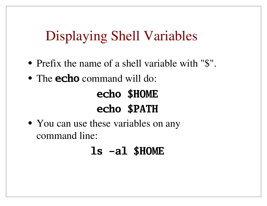## **Displaying Shell Variables**

- Prefix the name of a shell variable with "\$".
- The **echo** command will do:

## echo \$HOME echo \$PATH

• You can use these variables on any command line:

 $ls -a1$  SHOME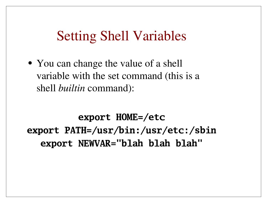#### **Setting Shell Variables**

• You can change the value of a shell variable with the set command (this is a shell *builtin* command):

#### export HOME=/etc export PATH=/usr/bin:/usr/etc:/sbin export NEWVAR="blah blah blah"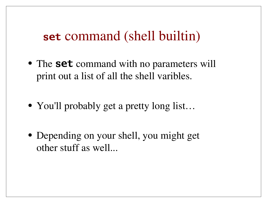#### et command (shell builtin)

- The **set** command with no parameters will print out a list of all the shell varibles. print out <sup>a</sup> list of all the shell varibles.
- You'll probably get a pretty long list...<br>
Depending an your shall you might go
- Depending on your shell, you might get<br>other stuff as well... other stuff as well...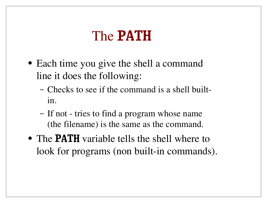## The **PATH**

- Each time you give the shell a command<br>line it does the following:<br>- Checks to see if the command is a shell bui line it does the following:
	- Checks to see if the command is <sup>a</sup> shell builtin.
	- If not tries to find <sup>a</sup> program whose name (the filename) is the same as the command.
- The **PATH** variable tells the shell where to The **PATH** variable tells the shell where to<br>look for programs (non built-in commands look for programs (non built-in commands).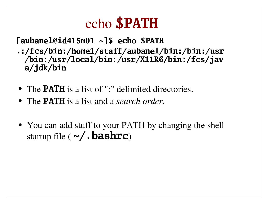## echo **\$PATH**

 $\lceil$ aubanel@id415m01 ~1\$ echo \$PATH

- .:/fcs/bin:/home1/staff/aubanel/bin:/bin:/usr /bin:/usr/local/bin:/usr/X11R6/bin:/fcs/jav  $a$ /jdk/bin
- The **PATH** is a list of ":" delimited directories.
- The **PATH** is a list and a *search order*.
- You can add stuff to your PATH by changing the shell startup file  $(\sim)$ . bashrc)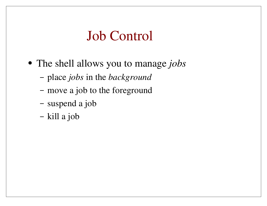### Job Control

- The shell allows you to manage *jobs*<br>- place *jobs* in the *background*<br>- move a job to the foreground
	- place *jobs* in the *background*
	- move <sup>a</sup> job to the foreground
	- suspend <sup>a</sup> job
	- kill <sup>a</sup> job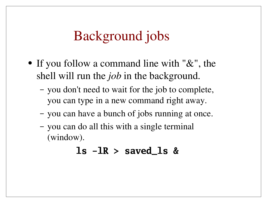#### Background jobs

- If you follow a command line with " $\&$ ", the<br>shell will run the *job* in the background.<br>- you don't need to wait for the job to complete. shell will run the *job* in the background.
	- you don't need to wait for the job to complete, you can type in <sup>a</sup> new command right away.
	- you can have <sup>a</sup> bunch of jobs running at once.
	- you can do all this with <sup>a</sup> single terminal (window).

#### $s$  -lR > saved\_ls &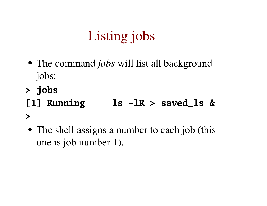## Listing jobs

- The command *jobs* will list all background<br>jobs:<br>**jobs** jobs:
- $>$  jobs
- $j$ ll Dunning  $p$  $\texttt{IR} > \texttt{saved}$  is &  $\geq$
- one is job number 1).The shell assigns a number to each job (this one is job number 1).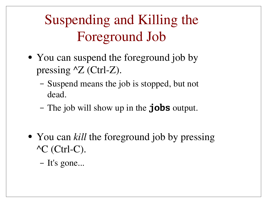Suspending and Killing the Foreground Job

- You can suspend the foreground job by<br>pressing  ${}^{\wedge}Z$  (Ctrl-Z).<br>- Suspend means the job is stopped, but not pressing  ${}^{\wedge}Z$  (Ctrl-Z).
	- Suspend means the job is stopped, but not dead.
	- The job will show up in the **jobs** output.
- You can *kill* the foreground job by pressing<br>  ${}^{\wedge}C$  (Ctrl-C).<br>
 It's gone... ^C (Ctrl-C).
	- It's gone...